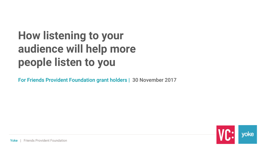# **How listening to your audience will help more people listen to you**

For Friends Provident Foundation grant holders | 30 November 2017

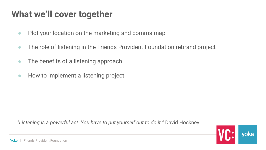### **What we'll cover together**

- Plot your location on the marketing and comms map
- The role of listening in the Friends Provident Foundation rebrand project
- The benefits of a listening approach
- How to implement a listening project

 *"Listening is a powerful act. You have to put yourself out to do it."* David Hockney

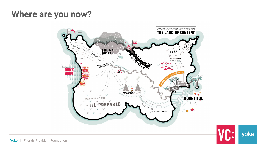### **Where are you now?**



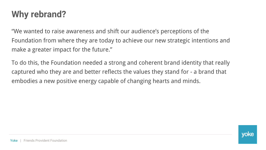## **Why rebrand?**

"We wanted to raise awareness and shift our audience's perceptions of the Foundation from where they are today to achieve our new strategic intentions and make a greater impact for the future."

To do this, the Foundation needed a strong and coherent brand identity that really captured who they are and better reflects the values they stand for - a brand that embodies a new positive energy capable of changing hearts and minds.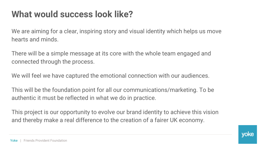# **What would success look like?**

We are aiming for a clear, inspiring story and visual identity which helps us move hearts and minds.

There will be a simple message at its core with the whole team engaged and connected through the process.

We will feel we have captured the emotional connection with our audiences.

This will be the foundation point for all our communications/marketing. To be authentic it must be reflected in what we do in practice.

This project is our opportunity to evolve our brand identity to achieve this vision and thereby make a real difference to the creation of a fairer UK economy.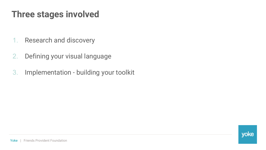### **Three stages involved**

- 1. Research and discovery
- 2. Defining your visual language
- 3. Implementation building your toolkit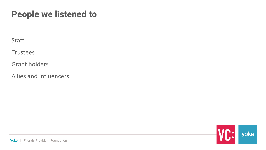### **People we listened to**

**Staff** 

**Trustees** 

Grant holders

Allies and Influencers

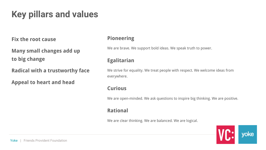# **Key pillars and values**

**Fix the root cause**

**Many small changes add up to big change**

**Radical with a trustworthy face**

**Appeal to heart and head**

#### **Pioneering**

We are brave. We support bold ideas. We speak truth to power.

#### **Egalitarian**

We strive for equality. We treat people with respect. We welcome ideas from everywhere.

#### **Curious**

We are open-minded. We ask questions to inspire big thinking. We are positive.

#### **Rational**

We are clear thinking. We are balanced. We are logical.

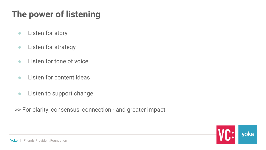# **The power of listening**

- Listen for story
- **•** Listen for strategy
- Listen for tone of voice
- Listen for content ideas
- Listen to support change

>> For clarity, consensus, connection - and greater impact

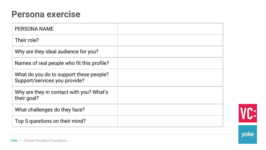### **Persona exercise**

| <b>PERSONA NAME</b>                                                      |  |
|--------------------------------------------------------------------------|--|
| Their role?                                                              |  |
| Why are they ideal audience for you?                                     |  |
| Names of real people who fit this profile?                               |  |
| What do you do to support these people?<br>Support/services you provide? |  |
| Why are they in contact with you? What's<br>their goal?                  |  |
| What challenges do they face?                                            |  |
| Top 5 questions on their mind?                                           |  |



yoke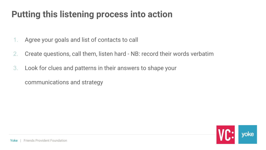### **Putting this listening process into action**

- 1. Agree your goals and list of contacts to call
- 2. Create questions, call them, listen hard NB: record their words verbatim
- 3. Look for clues and patterns in their answers to shape your

communications and strategy